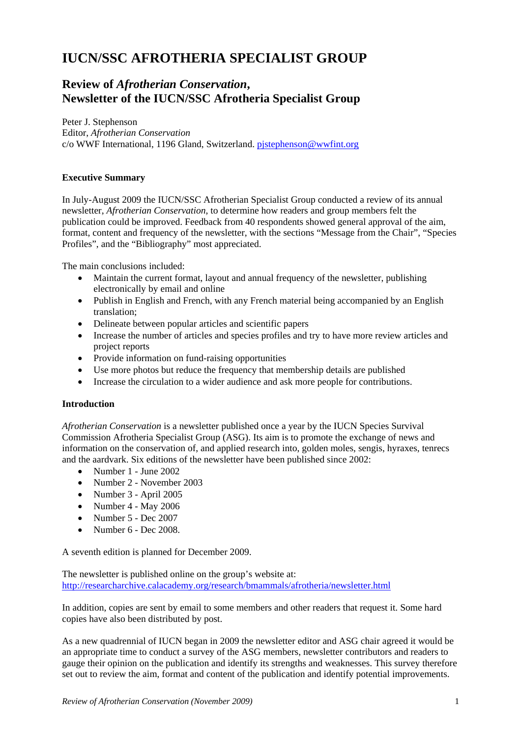# **IUCN/SSC AFROTHERIA SPECIALIST GROUP**

# **Review of** *Afrotherian Conservation***, Newsletter of the IUCN/SSC Afrotheria Specialist Group**

Peter J. Stephenson Editor, *Afrotherian Conservation* c/o WWF International, 1196 Gland, Switzerland. [pjstephenson@wwfint.org](mailto:pjstephenson@wwfint.org)

# **Executive Summary**

In July-August 2009 the IUCN/SSC Afrotherian Specialist Group conducted a review of its annual newsletter, *Afrotherian Conservation*, to determine how readers and group members felt the publication could be improved. Feedback from 40 respondents showed general approval of the aim, format, content and frequency of the newsletter, with the sections "Message from the Chair", "Species Profiles", and the "Bibliography" most appreciated.

The main conclusions included:

- Maintain the current format, layout and annual frequency of the newsletter, publishing electronically by email and online
- Publish in English and French, with any French material being accompanied by an English translation;
- Delineate between popular articles and scientific papers
- Increase the number of articles and species profiles and try to have more review articles and project reports
- Provide information on fund-raising opportunities
- Use more photos but reduce the frequency that membership details are published
- Increase the circulation to a wider audience and ask more people for contributions.

#### **Introduction**

*Afrotherian Conservation* is a newsletter published once a year by the IUCN Species Survival Commission Afrotheria Specialist Group (ASG). Its aim is to promote the exchange of news and information on the conservation of, and applied research into, golden moles, sengis, hyraxes, tenrecs and the aardvark. Six editions of the newsletter have been published since 2002:

- [Number 1 June 2002](http://www.calacademy.org/research/bmammals/afrotheria/ASGNL_no1.pdf)
- Number 2 November 2003
- [Number 3 April 2005](http://research.calacademy.org/research/bmammals/afrotheria/Afrotherian_Conservation_3.pdf)
- Number  $4 May\ 2006$
- Number 5 Dec 2007
- Number  $6 Dec$  2008.

A seventh edition is planned for December 2009.

The newsletter is published online on the group's website at: <http://researcharchive.calacademy.org/research/bmammals/afrotheria/newsletter.html>

In addition, copies are sent by email to some members and other readers that request it. Some hard copies have also been distributed by post.

As a new quadrennial of IUCN began in 2009 the newsletter editor and ASG chair agreed it would be an appropriate time to conduct a survey of the ASG members, newsletter contributors and readers to gauge their opinion on the publication and identify its strengths and weaknesses. This survey therefore set out to review the aim, format and content of the publication and identify potential improvements.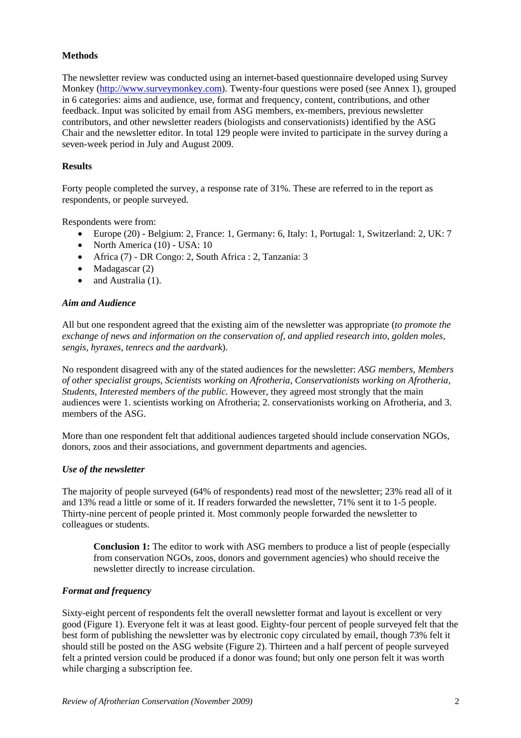# **Methods**

The newsletter review was conducted using an internet-based questionnaire developed using Survey Monkey [\(http://www.surveymonkey.com](http://www.surveymonkey.com/)). Twenty-four questions were posed (see Annex 1), grouped in 6 categories: aims and audience, use, format and frequency, content, contributions, and other feedback. Input was solicited by email from ASG members, ex-members, previous newsletter contributors, and other newsletter readers (biologists and conservationists) identified by the ASG Chair and the newsletter editor. In total 129 people were invited to participate in the survey during a seven-week period in July and August 2009.

#### **Results**

Forty people completed the survey, a response rate of 31%. These are referred to in the report as respondents, or people surveyed.

Respondents were from:

- Europe (20) Belgium: 2, France: 1, Germany: 6, Italy: 1, Portugal: 1, Switzerland: 2, UK: 7
- North America (10) USA: 10
- Africa (7) DR Congo: 2, South Africa : 2, Tanzania: 3
- Madagascar (2)
- and Australia (1).

#### *Aim and Audience*

All but one respondent agreed that the existing aim of the newsletter was appropriate (*to promote the exchange of news and information on the conservation of, and applied research into, golden moles, sengis, hyraxes, tenrecs and the aardvark*).

No respondent disagreed with any of the stated audiences for the newsletter: *ASG members, Members of other specialist groups, Scientists working on Afrotheria, Conservationists working on Afrotheria, Students, Interested members of the public.* However, they agreed most strongly that the main audiences were 1. scientists working on Afrotheria; 2. conservationists working on Afrotheria, and 3. members of the ASG.

More than one respondent felt that additional audiences targeted should include conservation NGOs, donors, zoos and their associations, and government departments and agencies.

#### *Use of the newsletter*

The majority of people surveyed (64% of respondents) read most of the newsletter; 23% read all of it and 13% read a little or some of it. If readers forwarded the newsletter, 71% sent it to 1-5 people. Thirty-nine percent of people printed it. Most commonly people forwarded the newsletter to colleagues or students.

**Conclusion 1:** The editor to work with ASG members to produce a list of people (especially from conservation NGOs, zoos, donors and government agencies) who should receive the newsletter directly to increase circulation.

#### *Format and frequency*

Sixty-eight percent of respondents felt the overall newsletter format and layout is excellent or very good (Figure 1). Everyone felt it was at least good. Eighty-four percent of people surveyed felt that the best form of publishing the newsletter was by electronic copy circulated by email, though 73% felt it should still be posted on the ASG website (Figure 2). Thirteen and a half percent of people surveyed felt a printed version could be produced if a donor was found; but only one person felt it was worth while charging a subscription fee.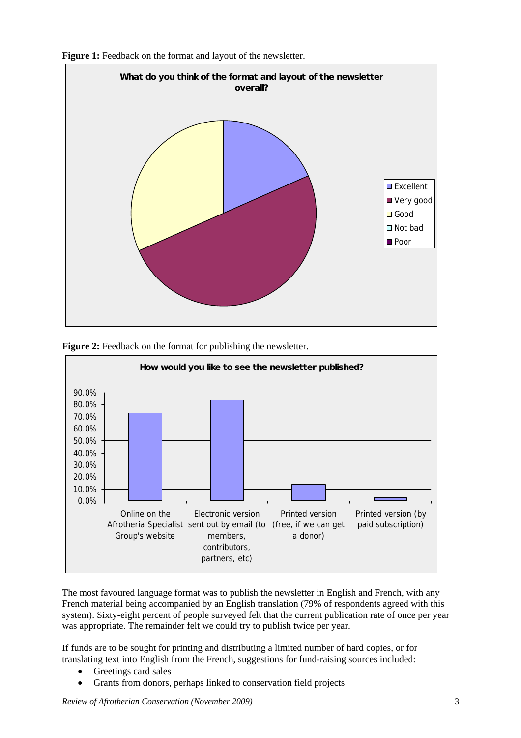







The most favoured language format was to publish the newsletter in English and French, with any French material being accompanied by an English translation (79% of respondents agreed with this system). Sixty-eight percent of people surveyed felt that the current publication rate of once per year was appropriate. The remainder felt we could try to publish twice per year.

If funds are to be sought for printing and distributing a limited number of hard copies, or for translating text into English from the French, suggestions for fund-raising sources included:

- Greetings card sales
- Grants from donors, perhaps linked to conservation field projects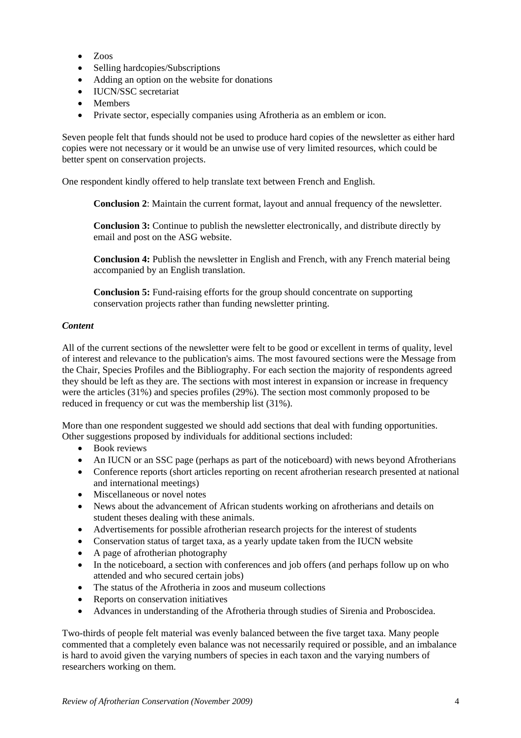- Zoos
- Selling hardcopies/Subscriptions
- Adding an option on the website for donations
- IUCN/SSC secretariat
- Members
- Private sector, especially companies using Afrotheria as an emblem or icon.

Seven people felt that funds should not be used to produce hard copies of the newsletter as either hard copies were not necessary or it would be an unwise use of very limited resources, which could be better spent on conservation projects.

One respondent kindly offered to help translate text between French and English.

**Conclusion 2**: Maintain the current format, layout and annual frequency of the newsletter.

**Conclusion 3:** Continue to publish the newsletter electronically, and distribute directly by email and post on the ASG website.

**Conclusion 4:** Publish the newsletter in English and French, with any French material being accompanied by an English translation.

**Conclusion 5:** Fund-raising efforts for the group should concentrate on supporting conservation projects rather than funding newsletter printing.

#### *Content*

All of the current sections of the newsletter were felt to be good or excellent in terms of quality, level of interest and relevance to the publication's aims. The most favoured sections were the Message from the Chair, Species Profiles and the Bibliography. For each section the majority of respondents agreed they should be left as they are. The sections with most interest in expansion or increase in frequency were the articles (31%) and species profiles (29%). The section most commonly proposed to be reduced in frequency or cut was the membership list (31%).

More than one respondent suggested we should add sections that deal with funding opportunities. Other suggestions proposed by individuals for additional sections included:

- Book reviews
- An IUCN or an SSC page (perhaps as part of the noticeboard) with news beyond Afrotherians
- Conference reports (short articles reporting on recent afrotherian research presented at national and international meetings)
- Miscellaneous or novel notes
- News about the advancement of African students working on afrotherians and details on student theses dealing with these animals.
- Advertisements for possible afrotherian research projects for the interest of students
- Conservation status of target taxa, as a yearly update taken from the IUCN website
- A page of afrotherian photography
- In the noticeboard, a section with conferences and job offers (and perhaps follow up on who attended and who secured certain jobs)
- The status of the Afrotheria in zoos and museum collections
- Reports on conservation initiatives
- Advances in understanding of the Afrotheria through studies of Sirenia and Proboscidea.

Two-thirds of people felt material was evenly balanced between the five target taxa. Many people commented that a completely even balance was not necessarily required or possible, and an imbalance is hard to avoid given the varying numbers of species in each taxon and the varying numbers of researchers working on them.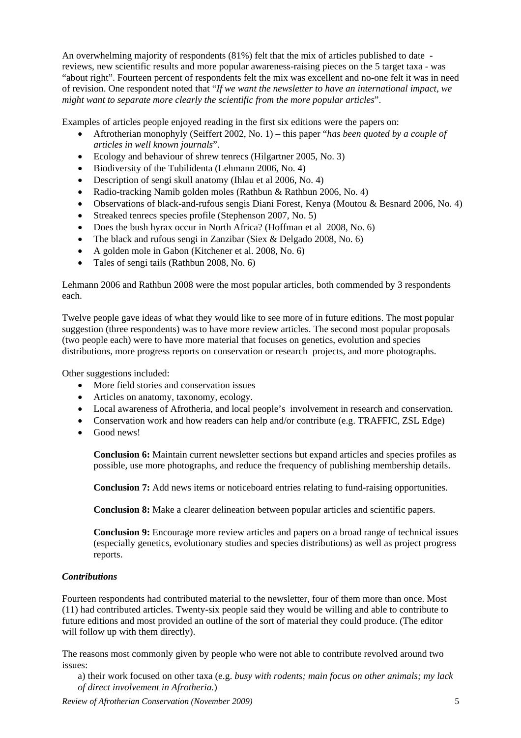An overwhelming majority of respondents (81%) felt that the mix of articles published to date reviews, new scientific results and more popular awareness-raising pieces on the 5 target taxa - was "about right". Fourteen percent of respondents felt the mix was excellent and no-one felt it was in need of revision. One respondent noted that "*If we want the newsletter to have an international impact, we might want to separate more clearly the scientific from the more popular articles*".

Examples of articles people enjoyed reading in the first six editions were the papers on:

- Aftrotherian monophyly (Seiffert 2002, No. 1) this paper "*has been quoted by a couple of articles in well known journals*".
- Ecology and behaviour of shrew tenrecs (Hilgartner 2005, No. 3)
- Biodiversity of the Tubilidenta (Lehmann 2006, No. 4)
- Description of sengi skull anatomy (Ihlau et al 2006, No. 4)
- Radio-tracking Namib golden moles (Rathbun & Rathbun 2006, No. 4)
- Observations of black-and-rufous sengis Diani Forest, Kenya (Moutou & Besnard 2006, No. 4)
- Streaked tenrecs species profile (Stephenson 2007, No. 5)
- Does the bush hyrax occur in North Africa? (Hoffman et al 2008, No. 6)
- The black and rufous sengi in Zanzibar (Siex & Delgado 2008, No. 6)
- A golden mole in Gabon (Kitchener et al. 2008, No. 6)
- Tales of sengi tails (Rathbun 2008, No. 6)

Lehmann 2006 and Rathbun 2008 were the most popular articles, both commended by 3 respondents each.

Twelve people gave ideas of what they would like to see more of in future editions. The most popular suggestion (three respondents) was to have more review articles. The second most popular proposals (two people each) were to have more material that focuses on genetics, evolution and species distributions, more progress reports on conservation or research projects, and more photographs.

Other suggestions included:

- More field stories and conservation issues
- Articles on anatomy, taxonomy, ecology.
- Local awareness of Afrotheria, and local people's involvement in research and conservation.
- Conservation work and how readers can help and/or contribute (e.g. TRAFFIC, ZSL Edge)
- Good news!

**Conclusion 6:** Maintain current newsletter sections but expand articles and species profiles as possible, use more photographs, and reduce the frequency of publishing membership details.

**Conclusion 7:** Add news items or noticeboard entries relating to fund-raising opportunities.

**Conclusion 8:** Make a clearer delineation between popular articles and scientific papers.

**Conclusion 9:** Encourage more review articles and papers on a broad range of technical issues (especially genetics, evolutionary studies and species distributions) as well as project progress reports.

#### *Contributions*

Fourteen respondents had contributed material to the newsletter, four of them more than once. Most (11) had contributed articles. Twenty-six people said they would be willing and able to contribute to future editions and most provided an outline of the sort of material they could produce. (The editor will follow up with them directly).

The reasons most commonly given by people who were not able to contribute revolved around two issues:

a) their work focused on other taxa (e.g. *busy with rodents; main focus on other animals; my lack of direct involvement in Afrotheria.*)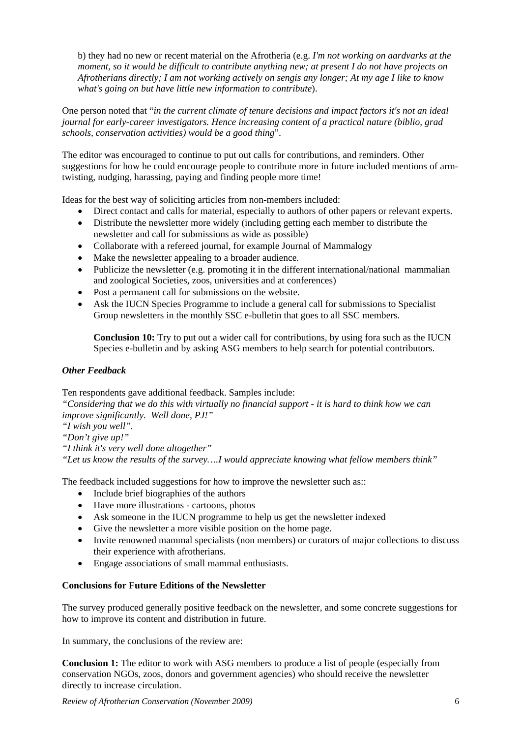b) they had no new or recent material on the Afrotheria (e.g. *I'm not working on aardvarks at the moment, so it would be difficult to contribute anything new; at present I do not have projects on Afrotherians directly; I am not working actively on sengis any longer; At my age I like to know what's going on but have little new information to contribute*).

One person noted that "*in the current climate of tenure decisions and impact factors it's not an ideal journal for early-career investigators. Hence increasing content of a practical nature (biblio, grad schools, conservation activities) would be a good thing*".

The editor was encouraged to continue to put out calls for contributions, and reminders. Other suggestions for how he could encourage people to contribute more in future included mentions of armtwisting, nudging, harassing, paying and finding people more time!

Ideas for the best way of soliciting articles from non-members included:

- Direct contact and calls for material, especially to authors of other papers or relevant experts.
- Distribute the newsletter more widely (including getting each member to distribute the newsletter and call for submissions as wide as possible)
- Collaborate with a refereed journal, for example Journal of Mammalogy
- Make the newsletter appealing to a broader audience.
- Publicize the newsletter (e.g. promoting it in the different international/national mammalian and zoological Societies, zoos, universities and at conferences)
- Post a permanent call for submissions on the website.
- Ask the IUCN Species Programme to include a general call for submissions to Specialist Group newsletters in the monthly SSC e-bulletin that goes to all SSC members.

**Conclusion 10:** Try to put out a wider call for contributions, by using fora such as the IUCN Species e-bulletin and by asking ASG members to help search for potential contributors.

# *Other Feedback*

Ten respondents gave additional feedback. Samples include:

*"Considering that we do this with virtually no financial support - it is hard to think how we can improve significantly. Well done, PJ!"* 

*"I wish you well".* 

*"Don't give up!"* 

*"I think it's very well done altogether"*

*"Let us know the results of the survey….I would appreciate knowing what fellow members think"* 

The feedback included suggestions for how to improve the newsletter such as::

- Include brief biographies of the authors
- Have more illustrations cartoons, photos
- Ask someone in the IUCN programme to help us get the newsletter indexed
- Give the newsletter a more visible position on the home page.
- Invite renowned mammal specialists (non members) or curators of major collections to discuss their experience with afrotherians.
- Engage associations of small mammal enthusiasts.

# **Conclusions for Future Editions of the Newsletter**

The survey produced generally positive feedback on the newsletter, and some concrete suggestions for how to improve its content and distribution in future.

In summary, the conclusions of the review are:

**Conclusion 1:** The editor to work with ASG members to produce a list of people (especially from conservation NGOs, zoos, donors and government agencies) who should receive the newsletter directly to increase circulation.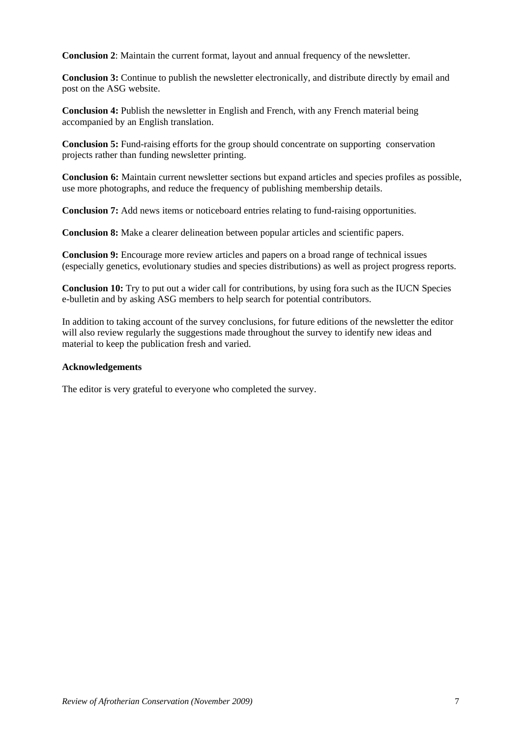**Conclusion 2**: Maintain the current format, layout and annual frequency of the newsletter.

**Conclusion 3:** Continue to publish the newsletter electronically, and distribute directly by email and post on the ASG website.

**Conclusion 4:** Publish the newsletter in English and French, with any French material being accompanied by an English translation.

**Conclusion 5:** Fund-raising efforts for the group should concentrate on supporting conservation projects rather than funding newsletter printing.

**Conclusion 6:** Maintain current newsletter sections but expand articles and species profiles as possible, use more photographs, and reduce the frequency of publishing membership details.

**Conclusion 7:** Add news items or noticeboard entries relating to fund-raising opportunities.

**Conclusion 8:** Make a clearer delineation between popular articles and scientific papers.

**Conclusion 9:** Encourage more review articles and papers on a broad range of technical issues (especially genetics, evolutionary studies and species distributions) as well as project progress reports.

**Conclusion 10:** Try to put out a wider call for contributions, by using fora such as the IUCN Species e-bulletin and by asking ASG members to help search for potential contributors.

In addition to taking account of the survey conclusions, for future editions of the newsletter the editor will also review regularly the suggestions made throughout the survey to identify new ideas and material to keep the publication fresh and varied.

#### **Acknowledgements**

The editor is very grateful to everyone who completed the survey.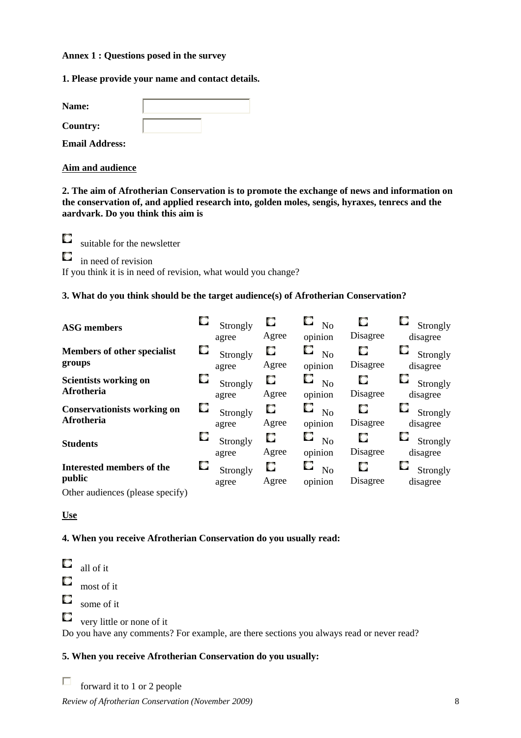#### **Annex 1 : Questions posed in the survey**

**1. Please provide your name and contact details.** 

| <b>Name:</b>          |  |
|-----------------------|--|
| <b>Country:</b>       |  |
| <b>Email Address:</b> |  |

**Aim and audience**

**2. The aim of Afrotherian Conservation is to promote the exchange of news and information on the conservation of, and applied research into, golden moles, sengis, hyraxes, tenrecs and the aardvark. Do you think this aim is** 

O suitable for the newsletter

O in need of revision

If you think it is in need of revision, what would you change?

# **3. What do you think should be the target audience(s) of Afrotherian Conservation?**

| <b>ASG</b> members                               |   | Strongly<br>agree | O<br>Agree | О<br>No<br>opinion                     | о<br>Disagree | Strongly<br>disagree |
|--------------------------------------------------|---|-------------------|------------|----------------------------------------|---------------|----------------------|
| <b>Members of other specialist</b><br>groups     | O | Strongly<br>agree | O<br>Agree | O<br>N <sub>0</sub><br>opinion         | О<br>Disagree | Strongly<br>disagree |
| <b>Scientists working on</b><br>Afrotheria       | O | Strongly<br>agree | O<br>Agree | $\Box$ No<br>opinion                   | O<br>Disagree | Strongly<br>disagree |
| <b>Conservationists working on</b><br>Afrotheria | u | Strongly<br>agree | O<br>Agree | $\square$ No<br>opinion                | O<br>Disagree | Strongly<br>disagree |
| <b>Students</b>                                  |   | Strongly<br>agree | O<br>Agree | O<br>$\mathbf{N}\mathbf{o}$<br>opinion | O<br>Disagree | Strongly<br>disagree |
| <b>Interested members of the</b><br>public       |   | Strongly<br>agree | O<br>Agree | N <sub>o</sub><br>opinion              | о<br>Disagree | Strongly<br>disagree |
| $Othor$ audionage (places engaine)               |   |                   |            |                                        |               |                      |

Other audiences (please specify)

# **Use**

# **4. When you receive Afrotherian Conservation do you usually read:**

O all of it O most of it O some of it  $\Box$ very little or none of it Do you have any comments? For example, are there sections you always read or never read?

# **5. When you receive Afrotherian Conservation do you usually:**

П forward it to 1 or 2 people

*Review of Afrotherian Conservation (November 2009)* 8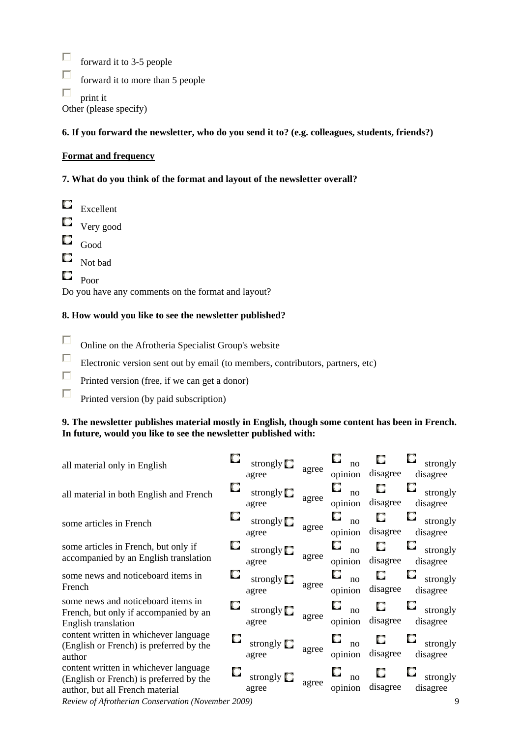$\Box$ forward it to 3-5 people

 $\Box$ forward it to more than 5 people

 $\Box$ print it

Other (please specify)

# **6. If you forward the newsletter, who do you send it to? (e.g. colleagues, students, friends?)**

# **Format and frequency**

# **7. What do you think of the format and layout of the newsletter overall?**

 $\circ$ Excellent Very good O Good O Not bad O Poor

Do you have any comments on the format and layout?

# **8. How would you like to see the newsletter published?**

- $\Box$ Online on the Afrotheria Specialist Group's website
- $\Box$ Electronic version sent out by email (to members, contributors, partners, etc)
- $\Box$ Printed version (free, if we can get a donor)
- $\Box$ Printed version (by paid subscription)

# **9. The newsletter publishes material mostly in English, though some content has been in French. In future, would you like to see the newsletter published with:**

| all material only in English                                                                                        |   | strongly $\square$<br>agree | agree | O<br>$\overline{no}$<br>opinion | O<br>disagree | strongly<br>disagree      |
|---------------------------------------------------------------------------------------------------------------------|---|-----------------------------|-------|---------------------------------|---------------|---------------------------|
| all material in both English and French                                                                             | О | strongly $\Box$<br>agree    | agree | О<br>$\overline{no}$<br>opinion | O<br>disagree | O<br>strongly<br>disagree |
| some articles in French                                                                                             |   | strongly $\square$<br>agree | agree | O<br>$\overline{p}$<br>opinion  | O<br>disagree | О<br>strongly<br>disagree |
| some articles in French, but only if<br>accompanied by an English translation                                       |   | strongly $\Box$<br>agree    | agree | О<br>$\overline{10}$<br>opinion | O<br>disagree | O<br>strongly<br>disagree |
| some news and noticeboard items in<br>French                                                                        |   | strongly <b>U</b><br>agree  | agree | O<br>no<br>opinion              | O<br>disagree | O<br>strongly<br>disagree |
| some news and noticeboard items in<br>French, but only if accompanied by an<br><b>English translation</b>           |   | strongly $\Box$<br>agree    | agree | u<br>$\overline{10}$<br>opinion | u<br>disagree | o<br>strongly<br>disagree |
| content written in whichever language<br>(English or French) is preferred by the<br>author                          |   | strongly $\Box$<br>agree    | agree | U<br>$\overline{10}$<br>opinion | O<br>disagree | strongly<br>disagree      |
| content written in whichever language<br>(English or French) is preferred by the<br>author, but all French material |   | strongly [<br>agree         | agree | $\overline{no}$<br>opinion      | disagree      | strongly<br>disagree      |

*Review of Afrotherian Conservation (November 2009)* 9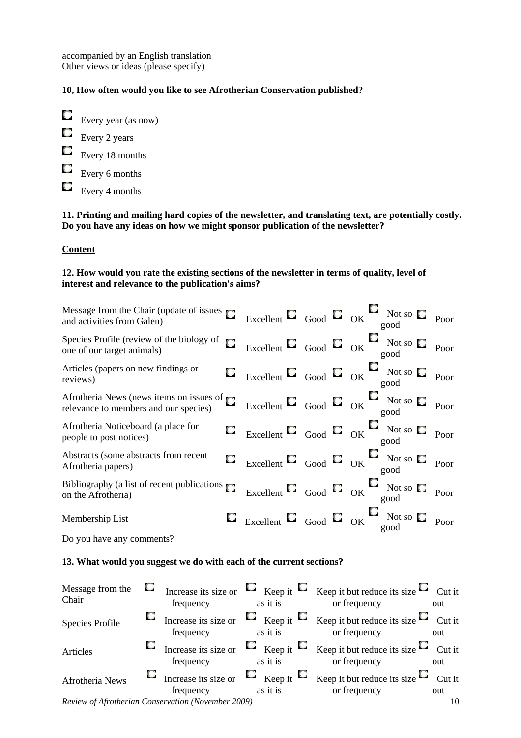accompanied by an English translation Other views or ideas (please specify)

# **10, How often would you like to see Afrotherian Conservation published?**

- Every year (as now) Every 2 years Every 18 months Every 6 months
- 
- $\Box$  Every 4 months

**11. Printing and mailing hard copies of the newsletter, and translating text, are potentially costly. Do you have any ideas on how we might sponsor publication of the newsletter?** 

### **Content**

### **12. How would you rate the existing sections of the newsletter in terms of quality, level of interest and relevance to the publication's aims?**

| Message from the Chair (update of issues)<br>and activities from Galen)           | О |  | Excellent $\Box$ Good $\Box$ OK Not so $\Box$ Poor          |      |
|-----------------------------------------------------------------------------------|---|--|-------------------------------------------------------------|------|
| Species Profile (review of the biology of<br>one of our target animals)           | О |  | Excellent $\Box$ Good $\Box$ OK Not so $\Box$ Poor          |      |
| Articles (papers on new findings or<br>reviews)                                   |   |  | $\Box$ Excellent $\Box$ Good $\Box$ OK Not so $\Box$        | Poor |
| Afrotheria News (news items on issues of<br>relevance to members and our species) |   |  | Excellent $\Box$ Good $\Box$ OK Not so $\Box$ Poor          |      |
| Afrotheria Noticeboard (a place for<br>people to post notices)                    |   |  | $\Box$ Excellent $\Box$ Good $\Box$ OK Not so $\Box$ Poor   |      |
| Abstracts (some abstracts from recent<br>Afrotheria papers)                       |   |  | $\Box$ Excellent $\Box$ Good $\Box$ OK Not so $\Box$        | Poor |
| Bibliography (a list of recent publications<br>on the Afrotheria)                 |   |  | Excellent $\Box$ Good $\Box$ OK $\Box$ Not so $\Box$ Poor   |      |
| Membership List                                                                   |   |  | $\Box$ Excellent $\Box$ Good $\Box$ OK $\Box$ Not so $\Box$ | Poor |

Do you have any comments?

### **13. What would you suggest we do with each of the current sections?**

| Message from the<br>Chair                          | U. | frequency                                |  | as it is |  | Increase its size or $\Box$ Keep it $\Box$ Keep it but reduce its size $\Box$ Cut it<br>or frequency          | out |
|----------------------------------------------------|----|------------------------------------------|--|----------|--|---------------------------------------------------------------------------------------------------------------|-----|
| Species Profile                                    |    | $\Box$ Increase its size or<br>frequency |  | as it is |  | $\Box$ Keep it $\Box$ Keep it but reduce its size $\Box$ Cut it<br>or frequency                               | out |
| Articles                                           |    | $\Box$ Increase its size or<br>frequency |  | as it is |  | <b>E</b> Keep it $\Box$ Keep it but reduce its size $\Box$ Cut it<br>or frequency                             | out |
| Afrotheria News                                    |    | frequency                                |  | as it is |  | <b>C</b> Increase its size or $\Box$ Keep it $\Box$ Keep it but reduce its size $\Box$ Cut it<br>or frequency | out |
| Review of Afrotherian Conservation (November 2009) |    |                                          |  |          |  | 10                                                                                                            |     |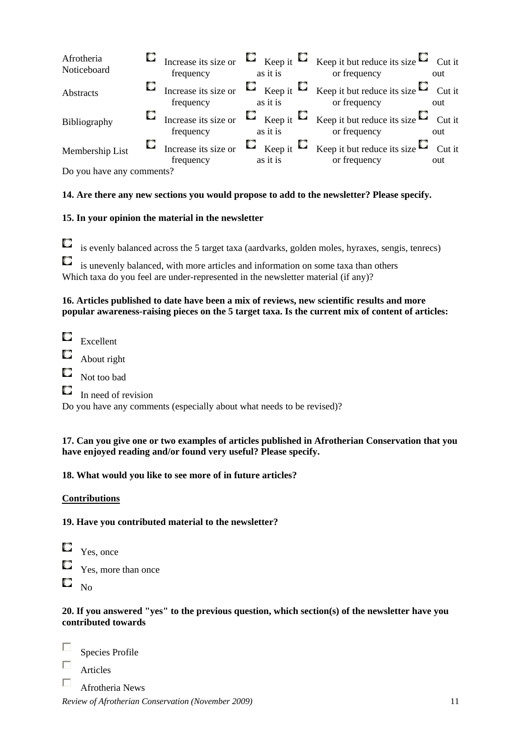| Afrotheria<br>Noticeboard | frequency | as it is | <b>C</b> Increase its size or $\Box$ Keep it $\Box$ Keep it but reduce its size $\Box$ Cut it<br>or frequency                 | out |
|---------------------------|-----------|----------|-------------------------------------------------------------------------------------------------------------------------------|-----|
| Abstracts                 | frequency | as it is | <b>C</b> Increase its size or $\Box$ Keep it $\Box$ Keep it but reduce its size $\Box$ Cut it<br>or frequency                 | out |
| Bibliography              | frequency | as it is | $\Box$ Increase its size or $\Box$ Keep it $\Box$ Keep it but reduce its size $\Box$ Cut it<br>or frequency                   | out |
| Membership List           | frequency | as it is | <b><math>\Box</math></b> Increase its size or $\Box$ Keep it $\Box$ Keep it but reduce its size $\Box$ Cut it<br>or frequency | out |

Do you have any comments?

# **14. Are there any new sections you would propose to add to the newsletter? Please specify.**

# **15. In your opinion the material in the newsletter**

is evenly balanced across the 5 target taxa (aardvarks, golden moles, hyraxes, sengis, tenrecs) O

O is unevenly balanced, with more articles and information on some taxa than others Which taxa do you feel are under-represented in the newsletter material (if any)?

# **16. Articles published to date have been a mix of reviews, new scientific results and more popular awareness-raising pieces on the 5 target taxa. Is the current mix of content of articles:**

- Excellent
- O About right
- O Not too bad
- $\Box$  In need of revision

Do you have any comments (especially about what needs to be revised)?

### **17. Can you give one or two examples of articles published in Afrotherian Conservation that you have enjoyed reading and/or found very useful? Please specify.**

# **18. What would you like to see more of in future articles?**

# **Contributions**

# **19. Have you contributed material to the newsletter?**

- O Yes, once О
- Yes, more than once
- O No

# **20. If you answered "yes" to the previous question, which section(s) of the newsletter have you contributed towards**

П Species Profile

- П Articles
- $\Box$ Afrotheria News

*Review of Afrotherian Conservation (November 2009)* 11